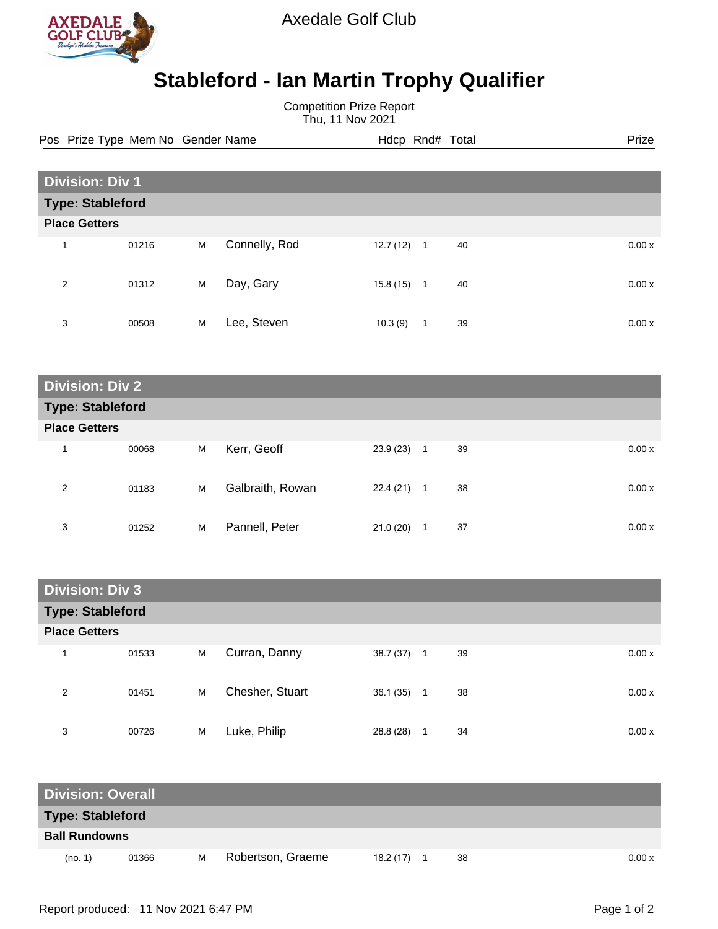

Axedale Golf Club

## **Stableford - Ian Martin Trophy Qualifier**

Competition Prize Report Thu, 11 Nov 2021

Pos Prize Type Mem No Gender Name **Heath Hotel And According Prize** Prize

| <b>Division: Div 1</b>  |       |   |               |           |                |    |  |       |  |  |
|-------------------------|-------|---|---------------|-----------|----------------|----|--|-------|--|--|
| <b>Type: Stableford</b> |       |   |               |           |                |    |  |       |  |  |
| <b>Place Getters</b>    |       |   |               |           |                |    |  |       |  |  |
| 1                       | 01216 | M | Connelly, Rod | 12.7(12)  | $\mathbf{1}$   | 40 |  | 0.00x |  |  |
| 2                       | 01312 | M | Day, Gary     | 15.8 (15) | $\overline{1}$ | 40 |  | 0.00x |  |  |
| 3                       | 00508 | M | Lee, Steven   | 10.3(9)   | 1              | 39 |  | 0.00x |  |  |

| <b>Division: Div 2</b>  |       |   |                  |           |   |    |       |  |  |
|-------------------------|-------|---|------------------|-----------|---|----|-------|--|--|
| <b>Type: Stableford</b> |       |   |                  |           |   |    |       |  |  |
| <b>Place Getters</b>    |       |   |                  |           |   |    |       |  |  |
| и                       | 00068 | M | Kerr, Geoff      | 23.9 (23) | 1 | 39 | 0.00x |  |  |
| 2                       | 01183 | M | Galbraith, Rowan | 22.4 (21) | 1 | 38 | 0.00x |  |  |
| 3                       | 01252 | M | Pannell, Peter   | 21.0(20)  | 1 | 37 | 0.00x |  |  |

| <b>Division: Div 3</b>  |       |   |                 |           |                |    |  |       |  |
|-------------------------|-------|---|-----------------|-----------|----------------|----|--|-------|--|
| <b>Type: Stableford</b> |       |   |                 |           |                |    |  |       |  |
| <b>Place Getters</b>    |       |   |                 |           |                |    |  |       |  |
| 4                       | 01533 | M | Curran, Danny   | 38.7 (37) | $\overline{1}$ | 39 |  | 0.00x |  |
| 2                       | 01451 | M | Chesher, Stuart | 36.1(35)  | 1              | 38 |  | 0.00x |  |
| 3                       | 00726 | M | Luke, Philip    | 28.8 (28) |                | 34 |  | 0.00x |  |

| <b>Division: Overall</b> |                         |   |                   |           |  |    |  |               |  |
|--------------------------|-------------------------|---|-------------------|-----------|--|----|--|---------------|--|
|                          | <b>Type: Stableford</b> |   |                   |           |  |    |  |               |  |
| <b>Ball Rundowns</b>     |                         |   |                   |           |  |    |  |               |  |
| (no. 1)                  | 01366                   | м | Robertson, Graeme | 18.2 (17) |  | 38 |  | $0.00 \times$ |  |